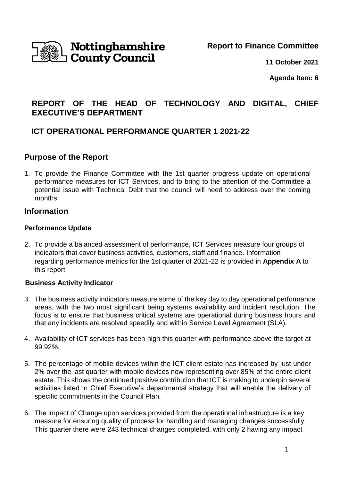

# Nottinghamshire **County Council**

**Report to Finance Committee**

**11 October 2021**

**Agenda Item: 6**

## **REPORT OF THE HEAD OF TECHNOLOGY AND DIGITAL, CHIEF EXECUTIVE'S DEPARTMENT**

### **ICT OPERATIONAL PERFORMANCE QUARTER 1 2021-22**

### **Purpose of the Report**

1. To provide the Finance Committee with the 1st quarter progress update on operational performance measures for ICT Services, and to bring to the attention of the Committee a potential issue with Technical Debt that the council will need to address over the coming months.

### **Information**

#### **Performance Update**

2. To provide a balanced assessment of performance, ICT Services measure four groups of indicators that cover business activities, customers, staff and finance. Information regarding performance metrics for the 1st quarter of 2021-22 is provided in **Appendix A** to this report.

#### **Business Activity Indicator**

- 3. The business activity indicators measure some of the key day to day operational performance areas, with the two most significant being systems availability and incident resolution. The focus is to ensure that business critical systems are operational during business hours and that any incidents are resolved speedily and within Service Level Agreement (SLA).
- 4. Availability of ICT services has been high this quarter with performance above the target at 99.92%.
- 5. The percentage of mobile devices within the ICT client estate has increased by just under 2% over the last quarter with mobile devices now representing over 85% of the entire client estate. This shows the continued positive contribution that ICT is making to underpin several activities listed in Chief Executive's departmental strategy that will enable the delivery of specific commitments in the Council Plan.
- 6. The impact of Change upon services provided from the operational infrastructure is a key measure for ensuring quality of process for handling and managing changes successfully. This quarter there were 243 technical changes completed, with only 2 having any impact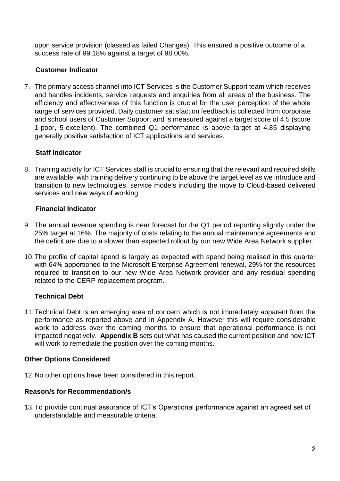upon service provision (classed as failed Changes). This ensured a positive outcome of a success rate of 99.18% against a target of 98.00%.

### **Customer Indicator**

7. The primary access channel into ICT Services is the Customer Support team which receives and handles incidents, service requests and enquiries from all areas of the business. The efficiency and effectiveness of this function is crucial for the user perception of the whole range of services provided. Daily customer satisfaction feedback is collected from corporate and school users of Customer Support and is measured against a target score of 4.5 (score 1-poor, 5-excellent). The combined Q1 performance is above target at 4.85 displaying generally positive satisfaction of ICT applications and services.

### **Staff Indicator**

8. Training activity for ICT Services staff is crucial to ensuring that the relevant and required skills are available, with training delivery continuing to be above the target level as we introduce and transition to new technologies, service models including the move to Cloud-based delivered services and new ways of working.

#### **Financial Indicator**

- 9. The annual revenue spending is near forecast for the Q1 period reporting slightly under the 25% target at 16%. The majority of costs relating to the annual maintenance agreements and the deficit are due to a slower than expected rollout by our new Wide Area Network supplier.
- 10.The profile of capital spend is largely as expected with spend being realised in this quarter with 64% apportioned to the Microsoft Enterprise Agreement renewal, 29% for the resources required to transition to our new Wide Area Network provider and any residual spending related to the CERP replacement program.

#### **Technical Debt**

11.Technical Debt is an emerging area of concern which is not immediately apparent from the performance as reported above and in Appendix A. However this will require considerable work to address over the coming months to ensure that operational performance is not impacted negatively. **Appendix B** sets out what has caused the current position and how ICT will work to remediate the position over the coming months.

#### **Other Options Considered**

12.No other options have been considered in this report.

#### **Reason/s for Recommendation/s**

13.To provide continual assurance of ICT's Operational performance against an agreed set of understandable and measurable criteria.